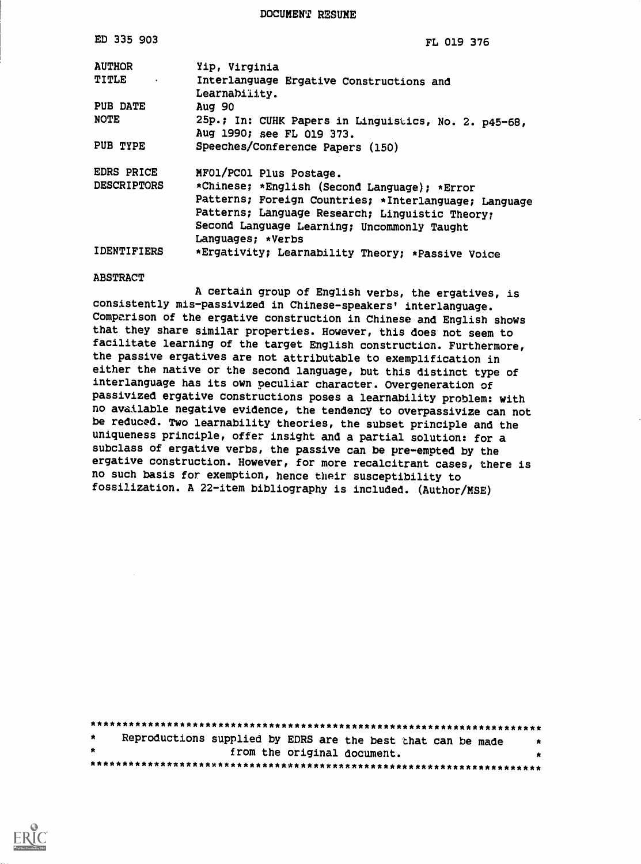DOCUMENT RESUME

| ED 335 903         | <b>FL 019 376</b>                                                                 |
|--------------------|-----------------------------------------------------------------------------------|
| <b>AUTHOR</b>      | Yip, Virginia                                                                     |
| TITLE .            | Interlanguage Ergative Constructions and<br>Learnability.                         |
| PUB DATE           | Aug 90                                                                            |
| <b>NOTE</b>        | 25p.; In: CUHK Papers in Linguistics, No. 2. p45-68,<br>Aug 1990; see FL 019 373. |
| PUB TYPE           | Speeches/Conference Papers (150)                                                  |
| EDRS PRICE         | MFO1/PCO1 Plus Postage.                                                           |
| <b>DESCRIPTORS</b> | *Chinese; *English (Second Language); *Error                                      |
|                    | Patterns; Foreign Countries; *Interlanguage; Language                             |
|                    | Patterns; Language Research; Linguistic Theory;                                   |
|                    | Second Language Learning; Uncommonly Taught                                       |
|                    | Languages; *Verbs                                                                 |
| <b>IDENTIFIERS</b> | *Ergativity; Learnability Theory; *Passive Voice                                  |

#### ABSTRACT

A certain group of English verbs, the ergatives, is consistently mis-passivized in Chinese-speakers' interlanguage. Comparison of the ergative construction in Chinese and English shows that they share similar properties. However, this does not seem to facilitate learning of the target English construction. Furthermore, the passive ergatives are not attributable to exemplification in either the native or the second language, but this distinct type of interlanguage has its own peculiar character. Overgeneration of passivized ergative constructions poses a learnability problem: with no available negative evidence, the tendency to overpassivize can not be reduced. Two learnability theories, the subset principle and the uniqueness principle, offer insight and a partial solution: for a subclass of ergative verbs, the passive can be pre-empted by the ergative construction. However, for more recalcitrant cases, there is no such basis for exemption, hence their susceptibility to fossilization. A 22-item bibliography is included. (Author/MSE)

| $\star$ | Reproductions supplied by EDRS are the best that can be made | $\star$ |
|---------|--------------------------------------------------------------|---------|
| 大       | from the original document.                                  | $\star$ |
|         |                                                              |         |

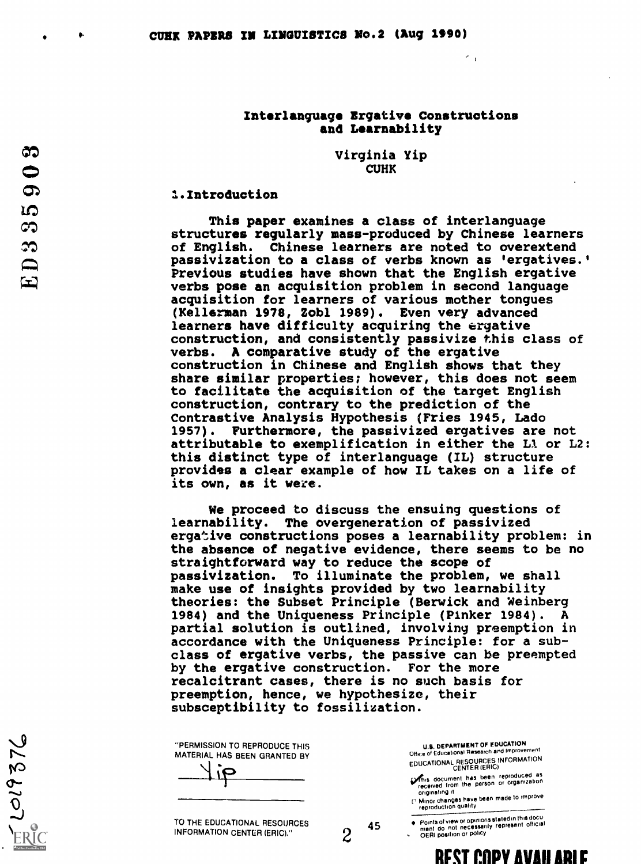# Interlanguage Ergative Constructions and Learnability

 $\sim$   $_{\rm 1}$ 

Virginia Yip CUHK

### 1.Introduction

This paper examines a class of interlanguage structures regularly mass-produced by Chinese learners of English. Chinese learners are noted to overextend passivization to a class of verbs known as 'ergatives.' Previous studies have shown that the English ergative verbs pose an acquisition problem in second language acquisition for learners of various mother tongues (Kellerman 1978, Zobl 1989). Even very advanced learners have difficulty acquiring the ergative construction, and consistently passivize this class of verbs. A comparative study of the ergative construction in Chinese and English shows that they share similar properties; however, this does not seem to facilitate the acquisition of the target English construction, contrary to the prediction of the Contrastive Analysis Hypothesis (Fries 1945, Ledo 1957). Furthermore, the passivized ergatives are not attributable to exemplification in either the Ll or L2: this distinct type of interlanguage (IL) structure provides a clear example of how IL takes on a life of its own, as it were.

We proceed to discuss the ensuing questions of learnability. The overgeneration of passivized ergative constructions poses a learnability problem: in the absence of negative evidence, there seems to be no straightforward way to reduce the scope of passivization. To illuminate the problem, we shall make use of insights provided by two learnability theories: the Subset Principle (Berwick and Weinberg 1984) and the Uniqueness Principle (Pinker 1984). A partial solution is outlined, involving preemption in accordance with the Uniqueness Principle: for a subclass of ergative verbs, the passive can be preempted by the ergative construction. For the more recalcitrant cases, there is no such basis for preemption, hence, we hypothesize, their subsceptibility to fossilization.

| "PERMISSION TO REPRODUCE THIS |  |
|-------------------------------|--|
| MATERIAL HAS BEEN GRANTED BY  |  |
| $\sigma$ i                    |  |
|                               |  |

| _____ |  | _____ |
|-------|--|-------|
|       |  |       |
|       |  |       |
|       |  |       |

TO THE EDUCATIONAL RESOURCES 45 INFORMATION CENTER (ERIC)."

U.S. DEPARTMENT OF EDUCATION Office of Educational Research and Improvement

EDUCATIONAL RESOURCES INFORMATION CENTER (ERIC)

**Vehis document has been reproduced as<br>received from the person or organization**<br>originating it

P Minor changes have been made to improve<br>reproduction quality

Points of view or opinions stated in this docu-<br>ment : do .not .necessarily .represent .official<br>OERI position or policy

 $\mathcal{Z}$  .  $\circ$ 

ದಾ  $\bullet$ 

 $\Omega$ 

cr

**REST COPY AVAILARLE**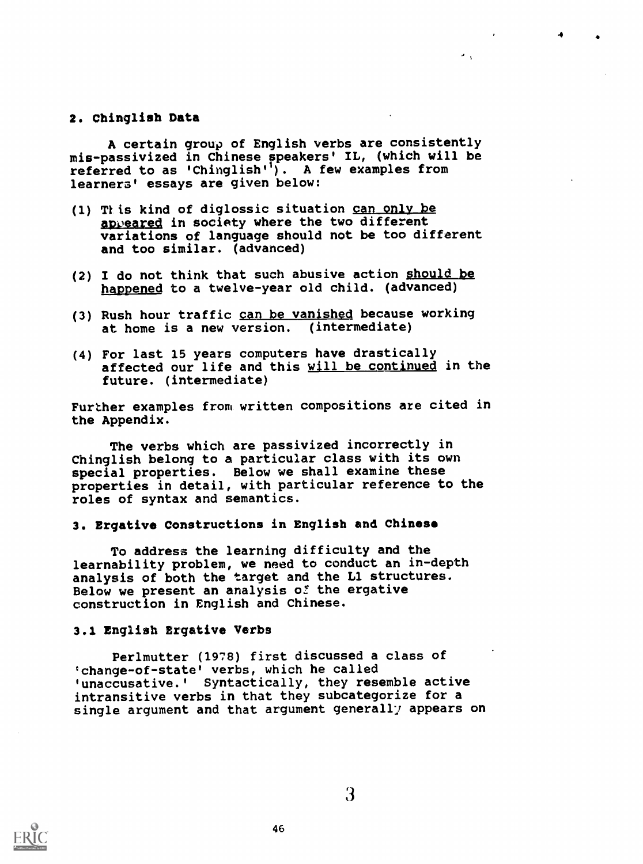## 2. Chinglish Data

A certain group of English verbs are consistently mis-passivized in Chinese speakers' IL, (which will be referred to as 'Chinglish'<sup>1</sup>). A few examples from learners' essays are given below:

4

- (1) This kind of diglossic situation can only be appeared in society where the two different variations of language should not be too different and too similar. (advanced)
- (2) I do not think that such abusive action should be happened to a twelve-year old child. (advanced)
- (3) Rush hour traffic can be vanished because working at home is a new version. (intermediate)
- (4) For last 15 years computers have drastically affected our life and this will be continued in the future. (intermediate)

Further examples from written compositions are cited in the Appendix.

The verbs which are passivized incorrectly in Chinglish belong to a particular class with its own special properties. Below we shall examine these properties in detail, with particular reference to the roles of syntax and semantics.

### 3. Ergative Constructions in English and Chinese

To address the learning difficulty and the learnability problem, we need to conduct an in-depth analysis of both the target and the Ll structures. Below we present an analysis of the ergative construction in English and Chinese.

## 3.1 English Ergative Verbs

Perlmutter (1978) first discussed a class of 'change-of-state' verbs, which he called 'unaccusative.' Syntactically, they resemble active intransitive verbs in that they subcategorize for a single argument and that argument generally appears on

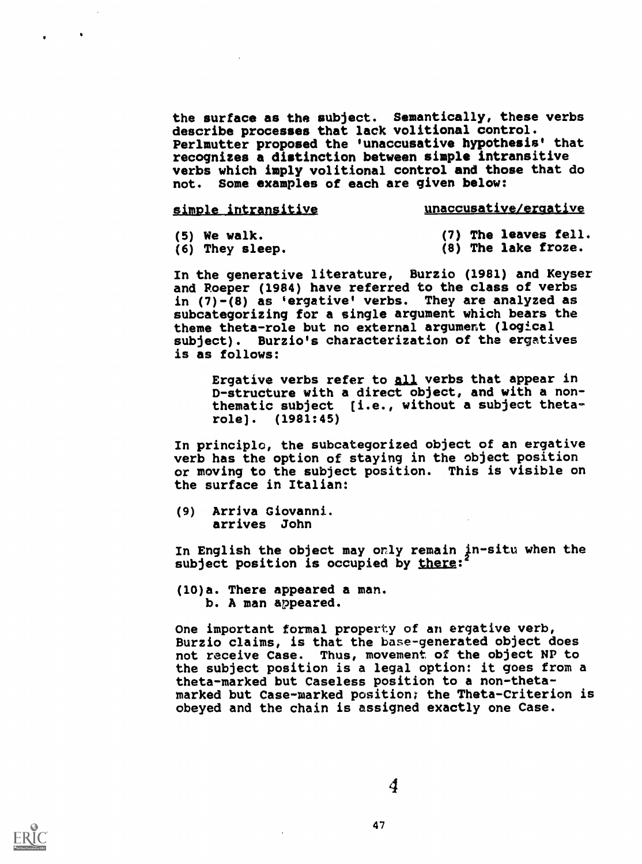the surface as the subject. Semantically, these verbs describe processes that lack volitional control. Perlmutter proposed the 'unaccusative hypothesis' that recognizes a distinction between simple intransitive verbs which imply volitional control and those that do not. Some examples of each are given below:

| simple intransitive | <u>unaccusative/ergative</u> |
|---------------------|------------------------------|
|                     |                              |

(5) We walk.

(7) The leaves fell. (8) The lake froze.

(6) They sleep.

In the generative literature, Burzio (1981) and Keyser and Roeper (1984) have referred to the class of verbs in (7)-(8) as 'ergative' verbs. They are analyzed as subcategorizing for a single argument which bears the theme theta-role but no external argument (logical subject). Burzio's characterization of the ergatives is as follows:

Ergative verbs refer to all verbs that appear in D-structure with a direct object, and with a nonthematic subject [i.e., without a subject thetarole]. (1981:45)

In principlc, the subcategorized object of an ergative verb has the option of staying in the object position or moving to the subject position. This is visible on the surface in Italian:

(9) Arriva Giovanni. arrives John

In English the object may only remain in-situ when the subject position is occupied by there:

(10)a. There appeared a man. b. A man appeared.

One important formal property of an ergative verb, Burzio claims, is that the base-generated object does not receive Case. Thus, movement of the object NP to the subject position is a legal option: it goes from a theta-marked but Caseless position to a non-thetamarked but Case-marked position; the Theta-Criterion is obeyed and the chain is assigned exactly one Case.

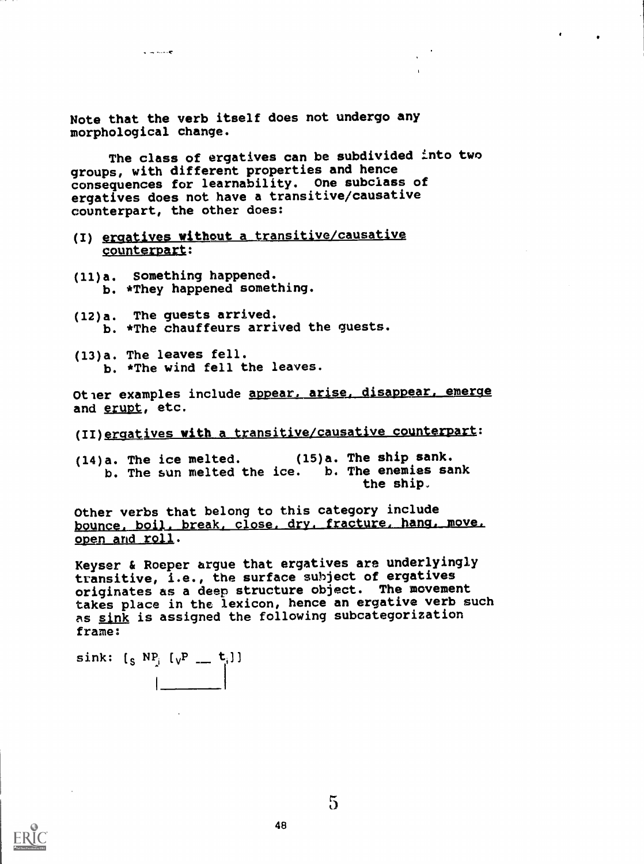Note that the verb itself does not undergo any morphological change.

The class of ergatives can be subdivided into two groups, with different properties and hence consequences for learnability. One subclass of ergatives does not have a transitive/causative counterpart, the other does:

- (I) ergatives without a transitive/causative counterpart:
- (11)a. Something happened. b. \*They happened something.

 $\overline{a}$  in the  $\overline{c}$ 

- (12)a. The guests arrived. b. \*The chauffeurs arrived the guests.
- (13)a. The leaves fell. b. \*The wind fell the leaves.

Ot er examples include appear, arise, disappear, emerge and erupt, etc.

(II) ergatives with a transitive/causative counterpart:

(14)a. The ice melted. (15)a. The ship sank. b. The sun melted the ice. b. The enemies sank the ship.

Other verbs that belong to this category include bounce, boil, break, close, dry, fracture, hang, move, open and roll.

Keyser & Roeper argue that ergatives are underlyingly transitive, i.e., the surface subject of ergatives originates as a deep structure object. The movement takes place in the lexicon, hence an ergative verb such as sink is assigned the following subcategorization frame:

sink:  $[s \ NP_j \ [v^p \ \_\_ t^j]$  $\vert$ 



 $\overline{5}$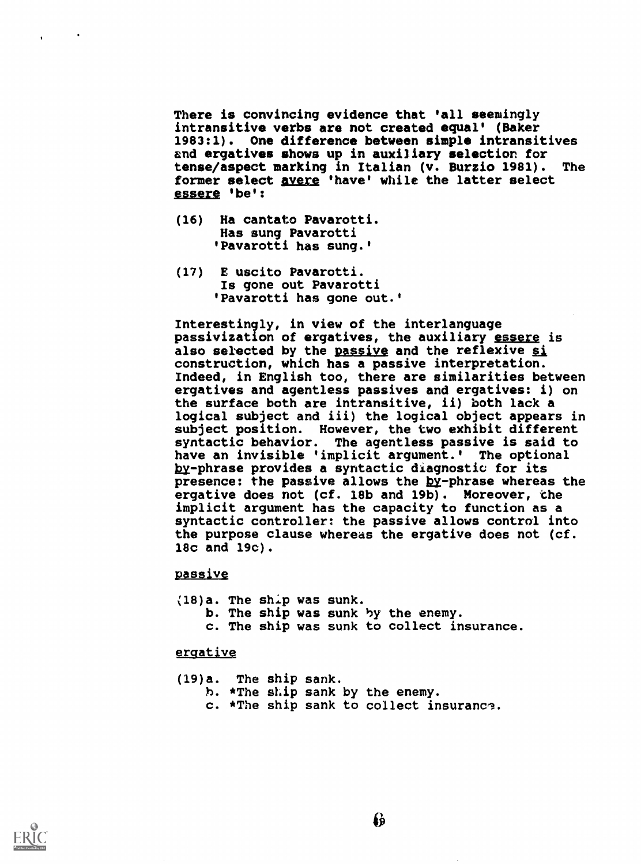There is convincing evidence that 'all seemingly intransitive verbs are not created equal' (Baker 1983:1). One difference between simple intransitives and ergatives shows up in auxiliary selection for tense/aspect marking in Italian (v. Burzio 1981). The former select avere 'have' while the latter select essere 'be':

- (16) Ha cantato Pavarotti. Has sung Pavarotti 'Pavarotti has sung.'
- (17) E uscito Pavarotti. Is gone out Pavarotti 'Pavarotti has gone out.'

Interestingly, in view of the interlanguage passivization of ergatives, the auxiliary essere is also selected by the passive and the reflexive si construction, which has a passive interpretation. Indeed, in English too, there are similarities between ergatives and agentless passives and ergatives: i) on the surface both are intransitive, ii) both lack a logical subject and iii) the logical object appears in subject position. However, the two exhibit different syntactic behavior. The agentless passive is said to have an invisible 'implicit argument.' The optional by-phrase provides a syntactic diagnostic for its presence: the passive allows the by-phrase whereas the ergative does not (cf. 18b and 19b). Moreover, the implicit argument has the capacity to function as a syntactic controller: the passive allows control into the purpose clause whereas the ergative does not (cf. 18c and 19c).

# passive

18)a. The ship was sunk. b. The ship was sunk by the enemy. c. The ship was sunk to collect insurance.

# ergative

(19)a. The ship sank. h. \*The ship sank by the enemy. c. \*The ship sank to collect insurance.



 $\mathbf{r}$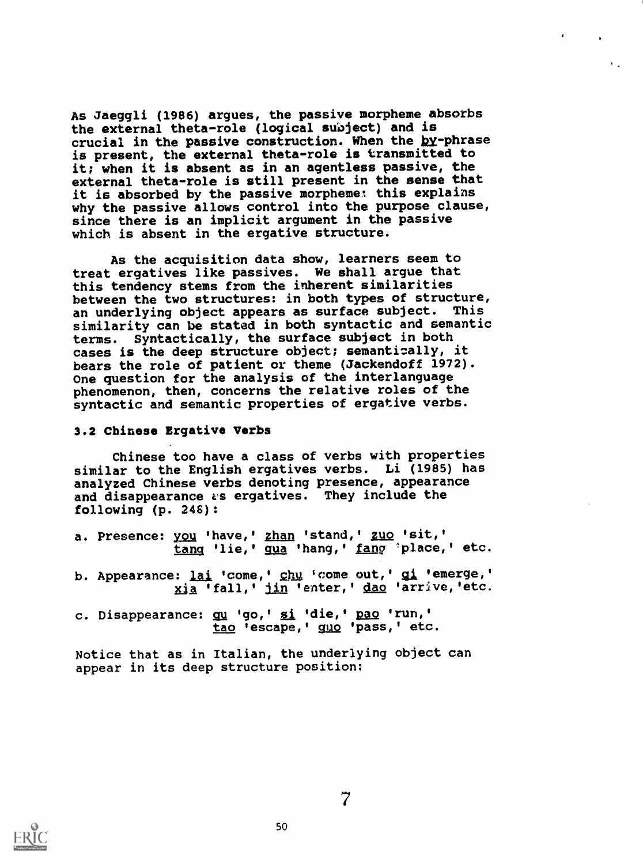As Jaeggli (1986) argues, the passive morpheme absorbs the external theta-role (logical subject) and is crucial in the passive construction. When the by-phrase is present, the external theta-role is transmitted to it; when it is absent as in an agentless passive, the external theta-role is still present in the sense that it is absorbed by the passive morpheme: this explains why the passive allows control into the purpose clause, since there is an implicit argument in the passive which is absent in the ergative structure.

As the acquisition data show, learners seem to treat ergatives like passives. We shall argue that this tendency stems from the inherent similarities between the two structures: in both types of structure, an underlying object appears as surface subject. This similarity can be stated in both syntactic and semantic terms. Syntactically, the surface subject in both cases is the deep structure object; semantically, it bears the role of patient or theme (Jackendoff 1972). One question for the analysis of the interlanguage phenomenon, then, concerns the relative roles of the syntactic and semantic properties of ergative verbs.

## 3.2 Chinese Ergative Verbs

Chinese too have a class of verbs with properties similar to the English ergatives verbs. Li (1985) has analyzed Chinese verbs denoting presence, appearance and disappearance as ergatives. They include the following (p. 248):

- a. Presence: you 'have,' zhan 'stand,' zuo 'sit,' tang 'lie, ' qua 'hang, ' fang 'place, ' etc.
- b. Appearance: lai 'come,' chu 'come out,' gi 'emerge,' xia 'fall,' jin 'enter,' dao 'arrive, 'etc.
- c. Disappearance: qu 'go,' si 'die,' pao 'run,' tao 'escape,' guo 'pass,' etc.

Notice that as in Italian, the underlying object can appear in its deep structure position;



50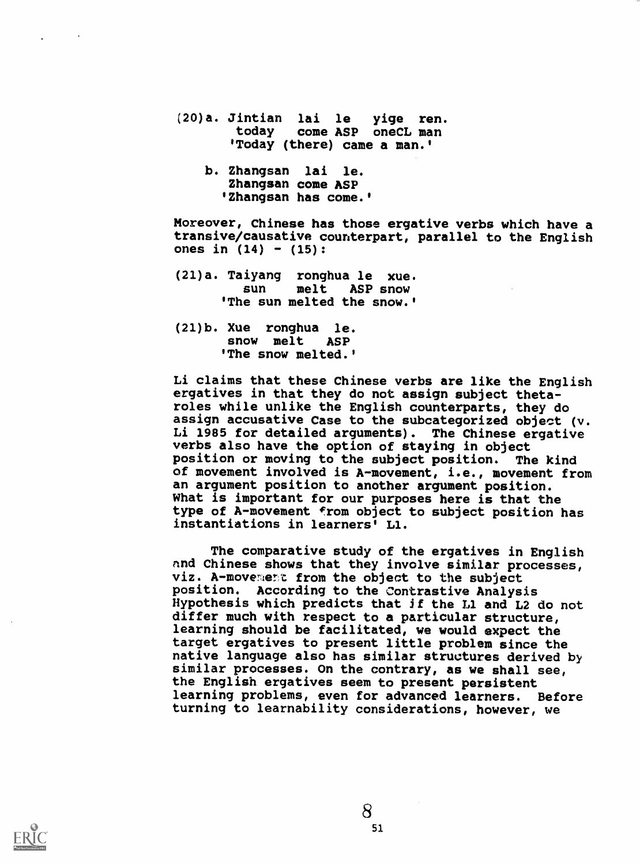- (20)a. Jintian lai le yige ren. today come ASP oneCL man °Today (there) came a man.'
	- b. Zhangsan lai le. Zhangsan come ASP 'Zhangsan has come.'

Moreover, Chinese has those ergative verbs which have a transive/causative counterpart, parallel to the English ones in  $(14) - (15)$ :

- (21)a. Taiyang ronghua le xue. melt ASP snow 'The sun melted the snow.'
- (21)b. Xue ronghua le. snow melt ASP 'The snow melted.'

Li claims that these Chinese verbs are like the English ergatives in that they do not assign subject thetaroles while unlike the English counterparts, they do assign accusative Case to the subcategorized object (v. Li 1985 for detailed arguments). The Chinese ergative verbs also have the option of staying in object position or moving to the subject position. The kind of movement involved is A-movement, i.e., movement from an argument position to another argument position. What is important for our purposes here is that the type of A-movement From object to subject position has instantiations in learners' Ll.

The comparative study of the ergatives in English and Chinese shows that they involve similar processes, viz. A-movement from the object to the subject position. According to the Contrastive Analysis Hypothesis which predicts that If the Ll and L2 do not differ much with respect to a particular structure, learning should be facilitated, we would expect the target ergatives to present little problem since the native language also has similar structures derived by similar processes. On the contrary, as we shall see, the English ergatives seem to present persistent learning problems, even for advanced learners. Before turning to learnability considerations, however, we

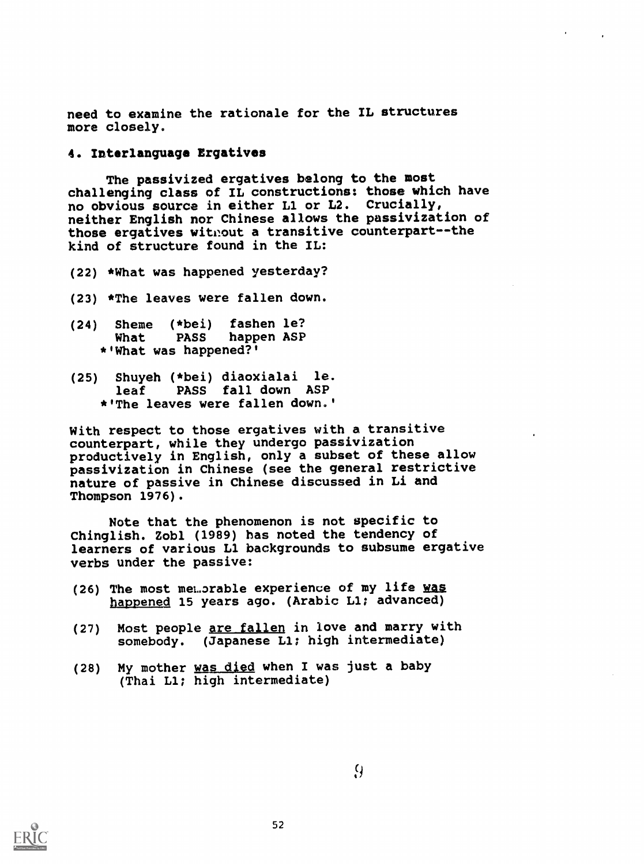need to examine the rationale for the IL structures more closely.

## 4. Interlanguage Ergatives

The passivized ergatives belong to the most challenging class of IL constructions: those which have no obvious source in either Ll or L2. Crucially, neither English nor Chinese allows the passivization of those ergatives without a transitive counterpart--the kind of structure found in the IL:

- (22) \*What was happened yesterday?
- (23) \*The leaves were fallen down.
- (24) Sheme (\*bei) fashen le? happen ASP \* 'What was happened?'
- (25) Shuyeh (\*bei) diaoxialai le. leaf PASS fall down ASP \* 'The leaves were fallen down.'

With respect to those ergatives with a transitive counterpart, while they undergo passivization productively in English, only a subset of these allow passivization in Chinese (see the general restrictive nature of passive in Chinese discussed in Li and Thompson 1976).

Note that the phenomenon is not specific to Chinglish. Zobl (1989) has noted the tendency of learners of various Ll backgrounds to subsume ergative verbs under the passive:

- (26) The most memorable experience of my life was happened 15 years ago. (Arabic Ll; advanced)
- (27) Most people are fallen in love and marry with somebody. (Japanese Ll; high intermediate)
- (28) My mother was died when I was just a baby (Thai Ll; high intermediate)

 $\Omega$ 

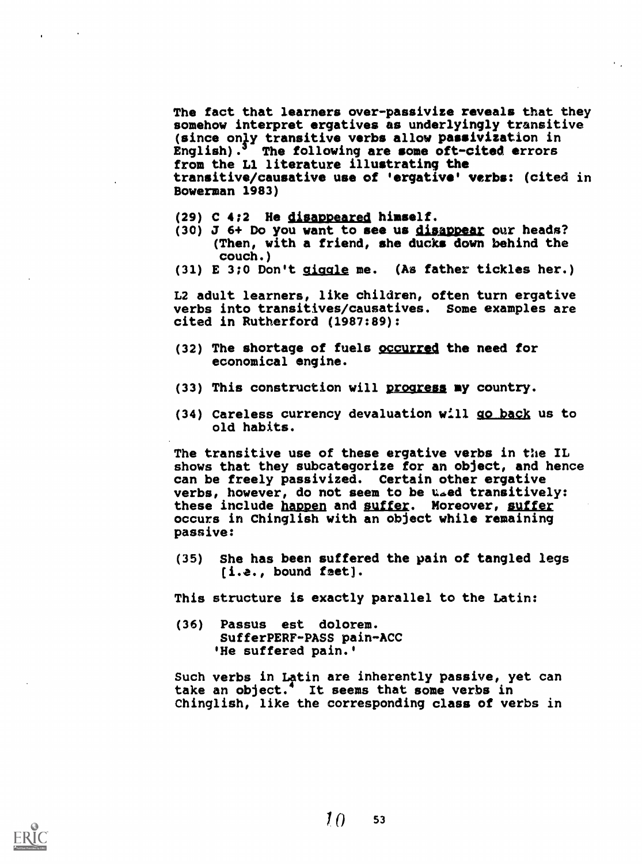The fact that learners over-passivize reveals that they somehow interpret ergatives as underlyingly transitive (since only transitive verbs allow passivization in English). $3$  The following are some oft-cited errors from the Ll literature illustrating the transitive/causative use of 'ergative' verbs: (cited in Bowerman 1983)

- (29) C 4;2 He disappeared himself.
- (30) J 6+ Do you want to see us disappear our heads? (Then, with a friend, she ducks down behind the couch.)
- (31) E 3;0 Don't giaale me. (As father tickles her.)

L2 adult learners, like children, often turn ergative verbs into transitives/causatives. Some examples are cited in Rutherford (1987:89):

- (32) The shortage of fuels occurred the need for economical engine.
- (33) This construction will progress my country.
- (34) Careless currency devaluation will go bacX us to old habits.

The transitive use of these ergative verbs in the IL shows that they subcategorize for an object, and hence can be freely passivized. Certain other ergative verbs, however, do not seem to be used transitively: these include happen and suffer. Moreover, suffer occurs in Chinglish with an object while remaining passive:

(35) She has been suffered the pain of tangled legs (i.e., bound feet).

This structure is exactly parallel to the Latin:

(36) Passus est dolorem. SufferPERF-PASS pain-ACC 'He suffered pain.'

Such verbs in Latin are inherently passive, yet can take an object.<sup>4</sup> It seems that some verbs in Chinglish, like the corresponding class of verbs in

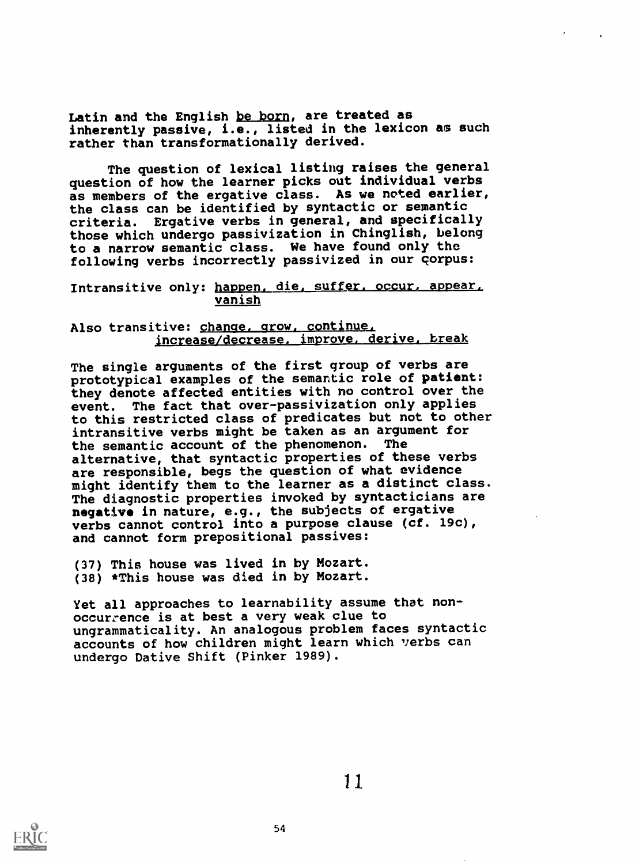Latin and the English be born, are treated as inherently passive, i.e., listed in the lexicon as such rather than transformationally derived.

The question of lexical listing raises the general question of how the learner picks out individual verbs as members of the ergative class. As we noted earlier, the class can be identified by syntactic or semantic criteria. Ergative verbs in general, and specifically those which undergo passivization in Chinglish, belong to a narrow semantic class. We have found only the following verbs incorrectly passivized in our corpus:

Intransitive only: happen, die, suffer, occur, appear, vanish

Also transitive: change, grow, continue, jncrease/decrease, improve, derive, break

The single arguments of the first group of verbs are prototypical examples of the semantic role of patient: they denote affected entities with no control over the event. The fact that over-passivization only applies to this restricted class of predicates but not to other intransitive verbs might be taken as an argument for<br>the semantic account of the phenomenon. The the semantic account of the phenomenon. alternative, that syntactic properties of these verbs are responsible, begs the question of what evidence might identify them to the learner as a distinct class. The diagnostic properties invoked by syntacticians are negative in nature, e.g., the subjects of ergative verbs cannot control into a purpose clause (cf. 19c), and cannot form prepositional passives:

(37) This house was lived in by Mozart. (38) \*This house was died in by Mozart.

Yet all approaches to learnability assume that nonoccurrence is at best a very weak clue to ungrammaticality. An analogous problem faces syntactic accounts of how children might learn which verbs can undergo Dative Shift (Pinker 1989).



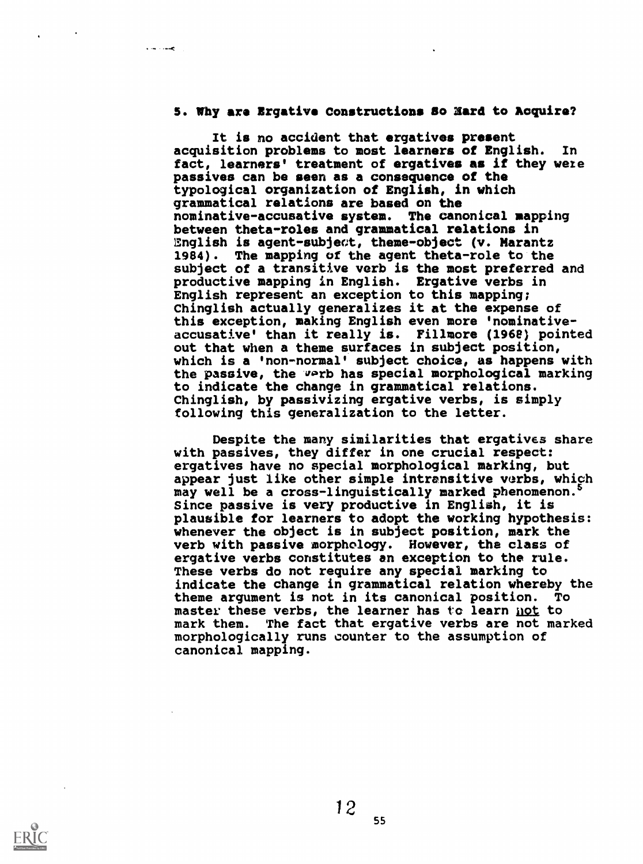## 5. Why are Ergative Constructions Bo Eard to Acquire?

 $\mathbf{v}$  and  $\mathbf{v}$  and  $\mathbf{v}$ 

It is no accident that ergatives present acquisition problems to most learners of English. In fact, learners' treatment of ergatives as if they were passives can be seen as a consequence of the typological organization of English, in which grammatical relations are based on the nominative-accusative system. The canonical mapping between theta-roles and grammatical relations in lEnglish is agent-subject, theme-object (v. Marantz 1984). The mapping of the agent theta-role to the subject of a transitive verb is the most preferred and productive mapping in English. Ergative verbs in English represent an exception to this mapping; Chinglish actually generalizes it at the expense of this exception, making English even more 'nominativeaccusative' than it really is. Fillmore (196e) pointed out that when a theme surfaces in subject position, which is a 'non-normal' subject choice, as happens with the passive, the warb has special morphological marking to indicate the change in grammatical relations. Chinglish, by passivizing ergative verbs, is simply following this generalization to the letter.

Despite the many similarities that ergatives share with passives, they differ in one crucial respect: ergatives have no special morphological marking, but appear just like other simple intrensitive verbs, which may well be a cross-linguistically marked phenomenon. Since passive is very productive in English, it is plausible for learners to adopt the working hypothesis: whenever the object is in subject position, mark the verb with passive morphology. However, the class of ergative verbs constitutes an exception to the rule. These verbs do not require any special marking to indicate the change in grammatical relation whereby the theme argument is not in its canonical position. To master these verbs, the learner has to learn not to mark them. The fact that ergative verbs are not marked morphologically runs counter to the assumption of canonical mapping.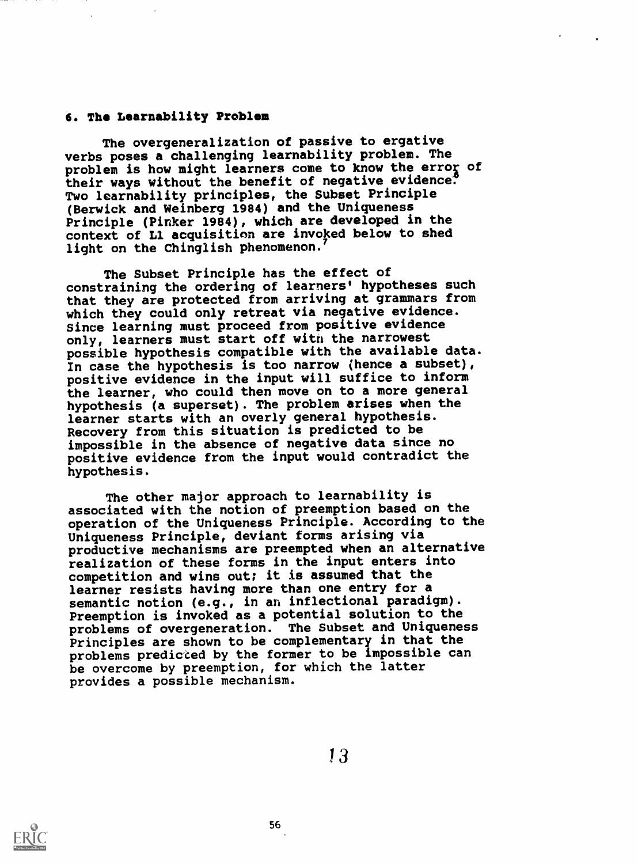# 6. The Learnability Problem

The overgeneralization of passive to ergative verbs poses a challenging learnability problem. The problem is how might learners come to know the error of their ways without the benefit of negative evidence. Two learnability principles, the Subset Principle (Berwick and Weinberg 1984) and the Uniqueness Principle (Pinker 1984), which are developed in the context of Ll acquisition are invoked below to shed light on the Chinglish phenomenon.

The Subset Principle has the effect of constraining the ordering of learners' hypotheses such that they are protected from arriving at grammars from which they could only retreat via negative evidence. Since learning must proceed from positive evidence only, learners must start off with the narrowest possible hypothesis compatible with the available data. In case the hypothesis is too narrow (hence a subset), positive evidence in the input will suffice to inform the learner, who could then move on to a more general hypothesis (a superset). The problem arises when the learner starts with an overly general hypothesis. Recovery from this situation is predicted to be impossible in the absence of negative data since no positive evidence from the input would contradict the hypothesis.

The other major approach to learnability is associated with the notion of preemption based on the operation of the Uniqueness Principle. According to the Uniqueness Principle, deviant forms arising via productive mechanisms are preempted when an alternative realization of these forms in the input enters into competition and wins out; it is assumed that the learner resists having more than one entry for a semantic notion (e.g., in an inflectional paradigm). Preemption is invoked as a potential solution to the problems of overgeneration. The Subset and Uniqueness Principles are shown to be complementary in that the problems predicted by the former to be impossible can be overcome by preemption, for which the latter provides a possible mechanism.

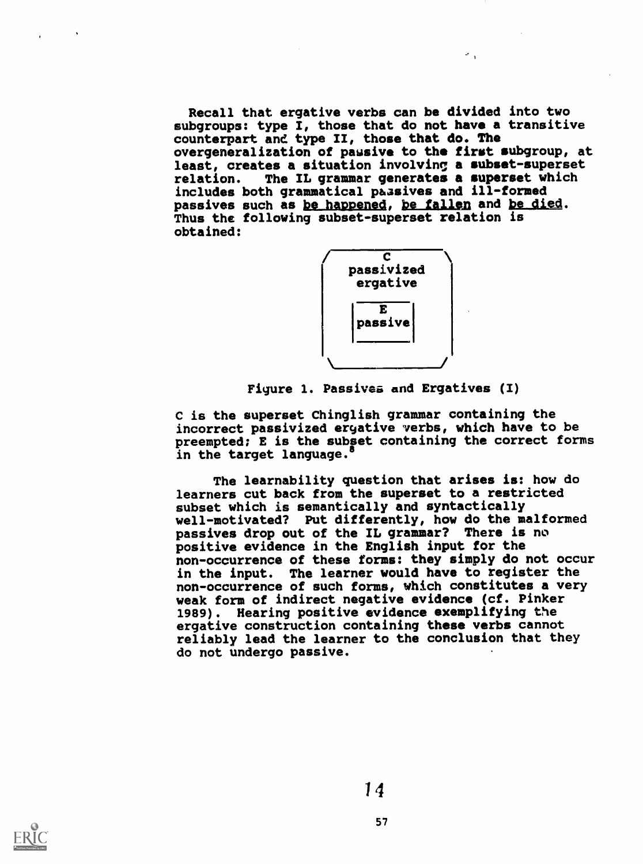Recall that ergative verbs can be divided into two subgroups: type I, those that do not have a transitive counterpart and type II, those that do. The overgeneralization of passive to the first subgroup, at least, creates a situation involving a subset-superset relation. The IL grammar generates a superset which includes both grammatical passives and ill-formed passives such as be happened, be fallen and be died. Thus the following subset-superset relation is obtained:

 $\sigma_{\rm{eff}}$ 



Figure 1. Passives and Ergatives (I)

C is the superset Chinglish grammar containing the incorrect passivized eryative verbs, which have to be preempted; E is the subset containing the correct forms in the target language.

The learnability question that arises is: how do learners cut back from the superset to a restricted subset which is semantically and syntactically well-motivated? Put differently, how do the malformed passives drop out of the IL grammar? There is no positive evidence in the English input for the non-occurrence of these forms: they simply do not occur in the input. The learner would have to register the non-occurrence of such forms, which constitutes a very weak form of indirect negative evidence (cf. Pinker 1989). Hearing positive evidence exemplifying the ergative construction containing these verbs cannot reliably lead the learner to the conclusion that they do not undergo passive.

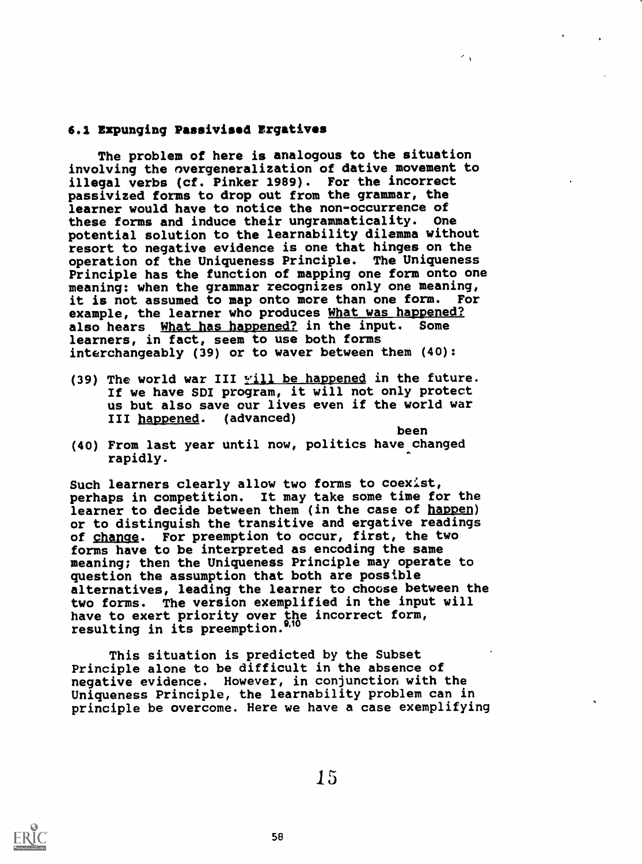# 6.1 Expunging Passivised Ergatives

The problem of here is analogous to the situation involving the nvergeneralization of dative movement to illegal verbs (cf. Pinker 1989). For the incorrect passivized forms to drop out from the grammar, the learner would have to notice the non-occurrence of these forms and induce their ungrammaticality. One potential solution to the learnability dilemma without resort to negative evidence is one that hinges on the operation of the Uniqueness Principle. The Uniqueness Principle has the function of mapping one form onto one meaning: when the grammar recognizes only one meaning, it is not assumed to map onto more than one form. For example, the learner who produces What was happened? also hears What has happened? in the input. Some learners, in fact, seem to use both forms interchangeably (39) or to waver between them (40):

(39) The world war III  $\frac{11}{2}$  be happened in the future. If we have SDI program, it will not only protect us but also save our lives even if the world war<br>III happened. (advanced) III happened.

been

 $\mathcal{O}(\sqrt{3})$ 

(40) From last year until now, politics have changed rapidly.

Such learners clearly allow two forms to coexist, perhaps in competition. It may take some time for the learner to decide between them (in the case of happen) or to distinguish the transitive and ergative readings<br>of change. For preemption to occur, first, the two For preemption to occur, first, the two forms have to be interpreted as encoding the same meaning; then the Uniqueness Principle may operate to question the assumption that both are possible alternatives, leading the learner to choose between the two forms. The version exemplified in the input will have to exert priority over the incorrect form, resulting in its preemption.""

This situation is predicted by the Subset Principle alone to be difficult in the absence of negative evidence. However, in conjunction with the Uniqueness Principle, the learnability problem can in principle be overcome. Here we have a case exemplifying



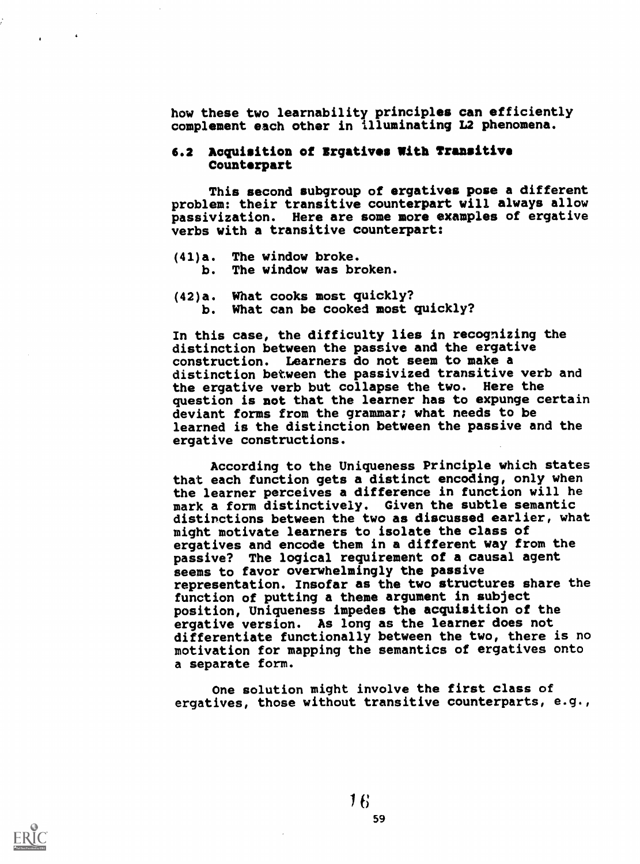how these two learnability principles can efficiently complement each other in illuminating L2 phenomena.

# 6.2 Acquisition of Erqatives With Transitive Counterpart

This second subgroup of ergatives pose a different problem: their transitive counterpart will always allow passivization. Here are some more examples of ergative verbs with a transitive counterpart:

- (41)a. The window broke. b. The window was broken.
- (42)a. What cooks most quickly? b. What can be cooked most quickly?

In this case, the difficulty lies in recognizing the distinction between the passive and the ergative construction. Learners do not seem to make a distinction between the passivized transitive verb and the ergative verb but collapse the two. Here the question is not that the learner has to expunge certain deviant forms from the grammar; what needs to be learned is the distinction between the passive and the ergative constructions.

According to the Uniqueness Principle which states that each function gets a distinct encoding, only when the learner perceives a difference in function will he mark a form distinctively. Given the subtle semantic distinctions between the two as discussed earlier, what might motivate learners to isolate the class of ergatives and encode them in a different way from the passive? The logical requirement of a causal agent seems to favor overwhelmingly the passive representation. Insofar as the two structures share the function of putting a theme argument in subject position, Uniqueness impedes the acquisition of the ergative version. As long as the learner does not differentiate functionally between the two, there is no motivation for mapping the semantics of ergatives onto a separate form.

One solution might involve the first class of ergatives, those without transitive counterparts, e.g.,

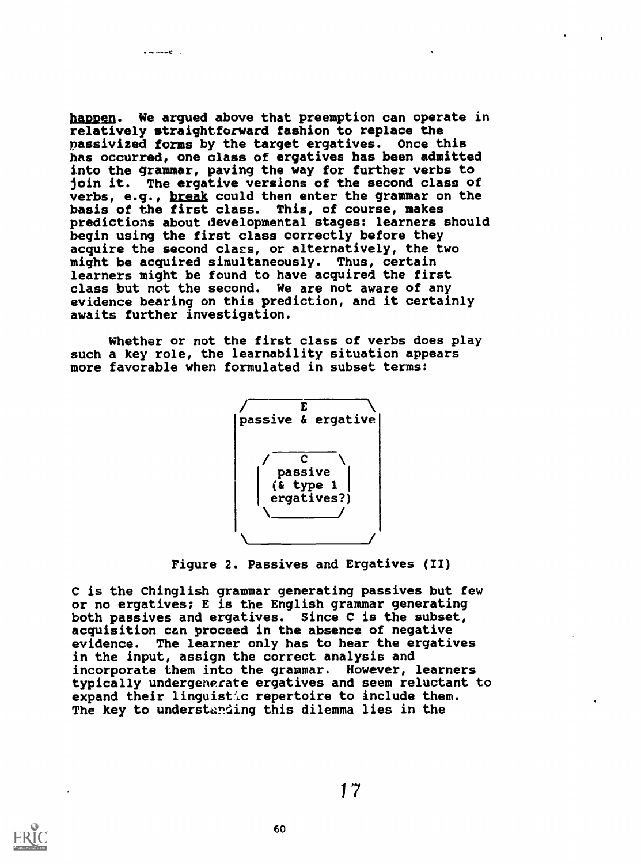$\cdots$ 

happen. We arqued above that preemption can operate in relatively straightforward fashion to replace the passivized forms by the target ergatives. Once this has occurred, one class of ergatives has been admitted into the grammar, paving the way for further verbs to join it. The ergative versions of the second class of verbs, e.g., break could then enter the grammar on the basis of the first class. This, of course, makes predictions about developmental stages: learners should begin using the first class correctly before they acquire the second class, or alternatively, the two might be acquired simultaneously. Thus, certain learners might be found to have acquired the first class but not the second. We are not aware of any evidence bearing on this prediction, and it certainly awaits further investigation.

Whether or not the first class of verbs does play such a key role, the learnability situation appears more favorable when formulated in subset terms:



Figure 2. Passives and Ergatives (II)

C is the Chinglish grammar generating passives but few or no ergatives; E is the English grammar generating both passives and ergatives. Since C is the subset, acquisition can proceed in the absence of negative evidence. The learner only has to hear the ergatives in the input, assign the correct analysis and incorporate them into the grammar. However, learners typically undergenerate ergatives and seem reluctant to expand their linguistic repertoire to include them. The key to understanding this dilemma lies in the

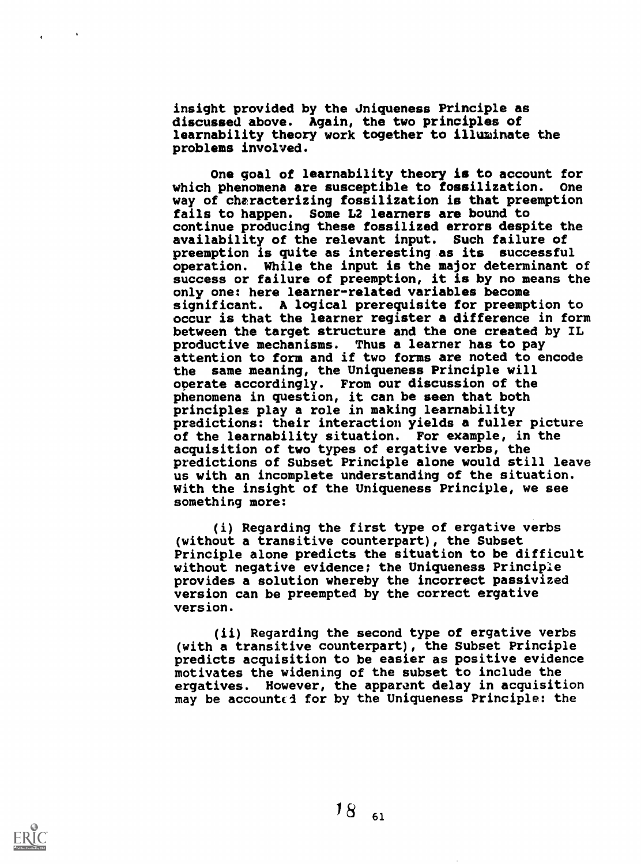insight provided by the Jniqueness Principle as discussed above. Again, the two principles of learnability theory work together to illuminate the problems involved.

One goal of learnability theory is to account for which phenomena are susceptible to fossilization. One way of cheracterizing fossilization is that preemption fails to happen. Some L2 learners are bound to continue producing these fossilized errors despite the availability of the relevant input. Such failure of preemption is quite as interesting as its successful operation. While the input is the major determinant of success or failure of preemption, it is by no means the only one: here learner-related variables become significant. A logical prerequisite for preemption to occur is that the learner register a difference in form between the target structure and the one created by IL productive mechanisms. Thus a learner has to pay attention to form and if two forms are noted to encode the same meaning, the Uniqueness Principle will operate accordingly. From our discussion of the phenomena in question, it can be seen that both principles play a role in making learnability predictions: their interaction yields a fuller picture of the learnability situation. For example, in the acquisition of two types of ergative verbs, the predictions of Subset Principle alone would still leave us with an incomplete understanding of the situation. With the insight of the Uniqueness Principle, we see something more:

(i) Regarding the first type of ergative verbs (without a transitive counterpart), the Subset Principle alone predicts the situation to be difficult without negative evidence; the Uniqueness Principle provides a solution whereby the incorrect passivized version can be preempted by the correct ergative version.

(ii) Regarding the second type of ergative verbs (with a transitive counterpart), the Subset Principle predicts acquisition to be easier as positive evidence motivates the widening of the subset to include the ergatives. However, the apparent delay in acquisition may be accounted for by the Uniqueness Principle: the



 $\sim$   $\sim$ 

 $\mathbf{A}^{\text{max}}$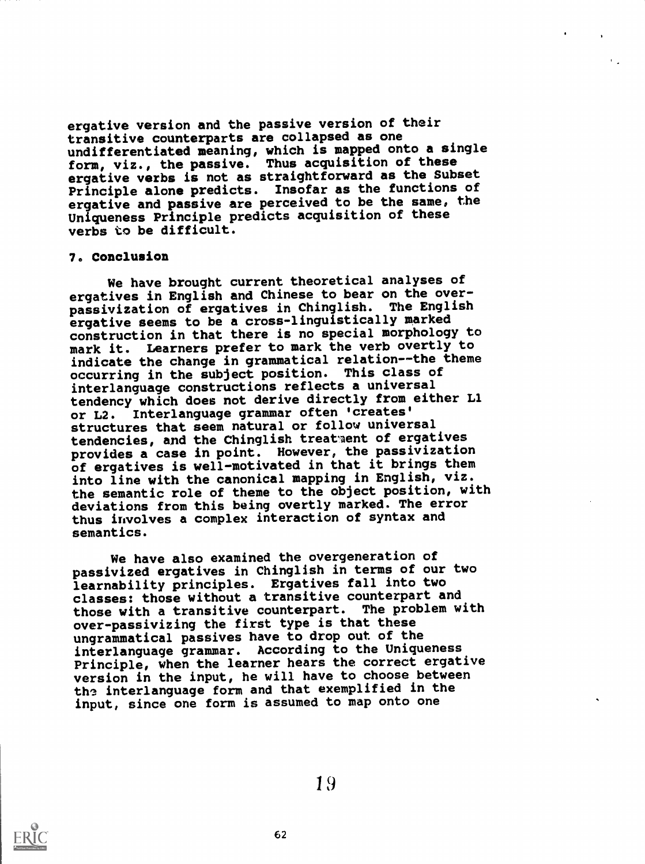ergative version and the passive version of their transitive counterparts are collapsed as one undifferentiated meaning, which is mapped onto a single form, viz., the passive. Thus acquisition of these ergative verbs is not as straightforward as the Subset Principle alone predicts. Insofar as the functions of ergative and passive are perceived to be the same, the Uniqueness Principle predicts acquisition of these verbs to be difficult.

#### 7. Conclusion

We have brought current theoretical analyses of ergatives in English and Chinese to bear on the overpassivization of ergatives in Chinglish. The English ergative seems to be a cross-linguistically marked construction in that there is no special morphology to mark it. Learners prefer to mark the verb overtly to indicate the change in grammatical relation--the theme occurring in the subject position. This class of interlanguage constructions reflects a universal tendency which does not derive directly from either Ll or L2. Interlanguage grammar often 'creates' structures that seem natural or follow universal tendencies, and the Chinglish treataent of ergatives provides a case in point. However, the passivization of ergatives is well-motivated in that it brings them into line with the canonical mapping in English, viz. the semantic role of theme to the object position, with deviations from this being overtly marked. The error thus involves a complex interaction of syntax and semantics.

We have also examined the overgeneration of passivized ergatives in Chinglish in terms of our two learnability principles. Ergatives fall into two classes: those without a transitive counterpart and those with a transitive counterpart. The problem with over-passivizing the first type is that these ungrammatical passives have to drop out of the interlanguage grammar. According to the Uniqueness Principle, when the learner hears the correct ergative version in the input, he will have to choose between the interlanguage form and that exemplified in the input, since one form is assumed to map onto one



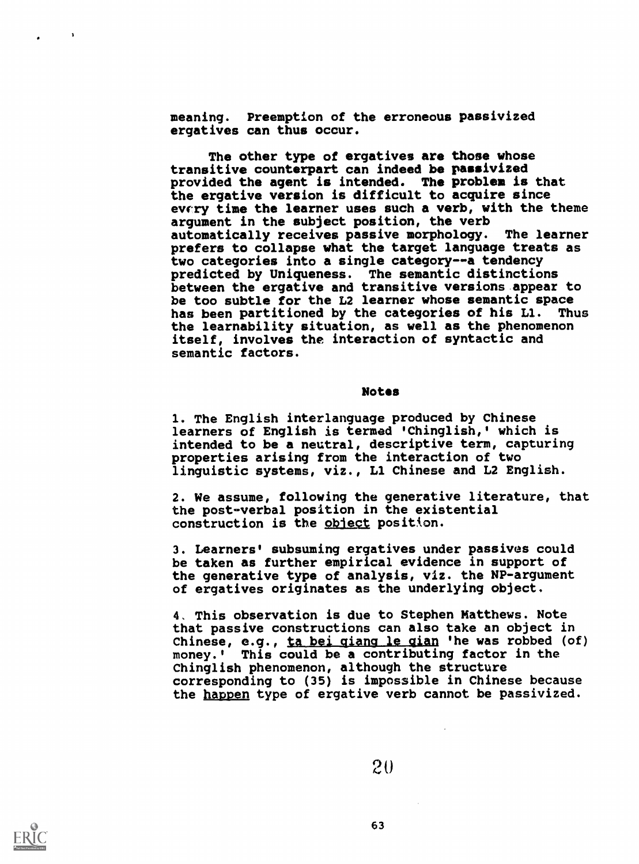meaning. Preemption of the erroneous passivized ergatives can thus occur.

The other type of ergatives are those whose transitive counterpart can indeed be passivized provided the agent is intended. The problem is that the ergative version is difficult to acquire since evcry time the learner uses such a verb, with the theme argument in the subject position, the verb<br>automatically receives passive morphology. The learner automatically receives passive morphology. prefers to collapse what the target language treats as two categories into a single category--a tendency predicted by Uniqueness. The semantic distinctions between the ergative and transitive versions appear to be too subtle for the L2 learner whose semantic space<br>has been partitioned by the categories of his L1. Thus has been partitioned by the categories of his L1. the learnability situation, as well as the phenomenon itself, involves the interaction of syntactic and semantic factors.

#### Notes

1. The English interlanguage produced by Chinese learners of English is termed 'Chinglish,' which is intended to be a neutral, descriptive term, capturing properties arising from the interaction of two linguistic systems, viz., Ll Chinese and L2 English.

2. We assume, following the generative literature, that the post-verbal position in the existential construction is the object position.

3. Learners' subsuming ergatives under passives could be taken as further empirical evidence in support of the generative type of analysis, viz. the NP-argument of ergatives originates as the underlying object.

4. This observation is due to Stephen Matthews. Note that passive constructions can also take an object in Chinese, e.g., ta bei qiang le gian 'he was robbed (of) money.' This could be a contributing factor in the Chinglish phenomenon, although the structure corresponding to (35) is impossible in Chinese because the happen type of ergative verb cannot be passivized.





 $\mathbf{a}$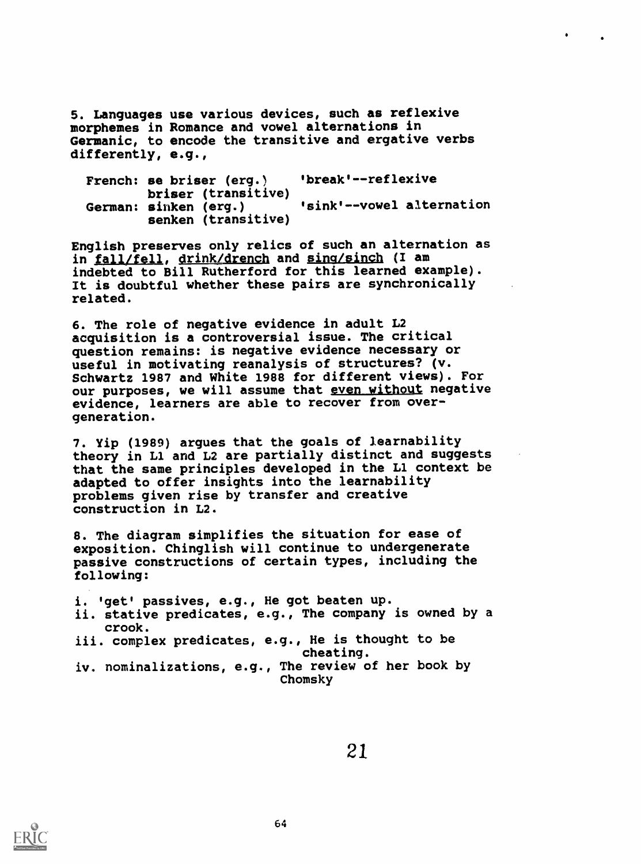5. Languages use various devices, such as reflexive morphemes in Romance and vowel alternations in Germanic, to encode the transitive and ergative verbs differently, e.g.,

| French: se briser (erg.)                                            | 'break'--reflexive        |  |  |
|---------------------------------------------------------------------|---------------------------|--|--|
| briser (transitive)<br>German: sinken (erg.)<br>senken (transitive) | 'sink'--vowel alternation |  |  |

English preserves only relics of such an alternation as in fall/fell, drink/drench and sing/sinch (I am indebted to Bill Rutherford for this learned example). It is doubtful whether these pairs are synchronically related.

6. The role of negative evidence in adult L2 acquisition is a controversial issue. The critical question remains: is negative evidence necessary or useful in motivating reanalysis of structures? (v. Schwartz 1987 and White 1988 for different views). For our purposes, we will assume that even without negative evidence, learners are able to recover from overgeneration.

7. Yip (1989) argues that the goals of learnability theory in Ll and L2 are partially distinct and suggests that the same principles developed in the Ll context be adapted to offer insights into the learnability problems given rise by transfer and creative construction in L2.

8. The diagram simplifies the situation for ease of exposition. Chinglish will continue to undergenerate passive constructions of certain types, including the following:

i. 'get' passives, e.g., He got beaten up. ii. stative predicates, e.g., The company is owned by a crook. iii. complex predicates, e.g., He is thought to be cheating. iv. nominalizations, e.g., The review of her book by Chomsky

21\_

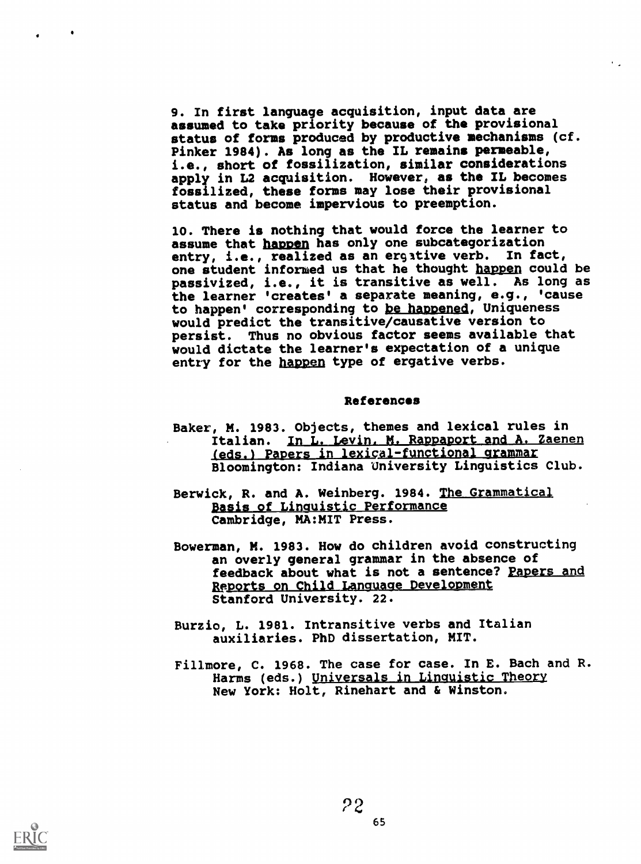9. In first language acquisition, input data are assumed to take priority because of the provisional status of forms produced by productive mechanisms (cf. Pinker 1984). As long as the IL remains permeable, i.e., short of fossilization, similar considerations apply in L2 acquisition. However, as the IL becomes fossilized, these forms may lose their provisional status and become impervious to preemption.

10. There is nothing that would force the learner to assume that happen has only one subcategorization entry, i.e., realized as an ergitive verb. In fact, one student informed us that he thought happen could be passivized, i.e., it is transitive as well. As long as the learner 'creates' a separate meaning, e.g., 'cause to happen' corresponding to be happened, Uniqueness would predict the transitive/causative version to<br>persist. Thus no obvious factor seems available Thus no obvious factor seems available that would dictate the learner's expectation of a unique entry for the happen type of ergative verbs.

#### References

- Baker, M. 1983. Objects, themes and lexical rules in Italian. In L. Levin, M. Rappaport and A. Zaenen (eds.) Papers in lexical-functional grammar Bloomington: Indiana University Linguistics Club.
- Berwick, R. and A. Weinberg. 1984. The Grammatical Basis of Linquistic Performance Cambridge, MA:MIT Press.
- Bowerman, M. 1983. How do children avoid constructing an overly general grammar in the absence of feedback about what is not a sentence? Papers and Reports on Child Language Development Stanford University. 22.
- Burzio, L. 1981. Intransitive verbs and Italian auxiliaries. PhD dissertation, MIT.
- Fillmore, C. 1968. The case for case. In E. Bach and R. Harms (eds.) Universals in Linguistic Theory New York: Holt, Rinehart and & Winston.

 $\mathcal{L}^{\mathcal{L}}$  .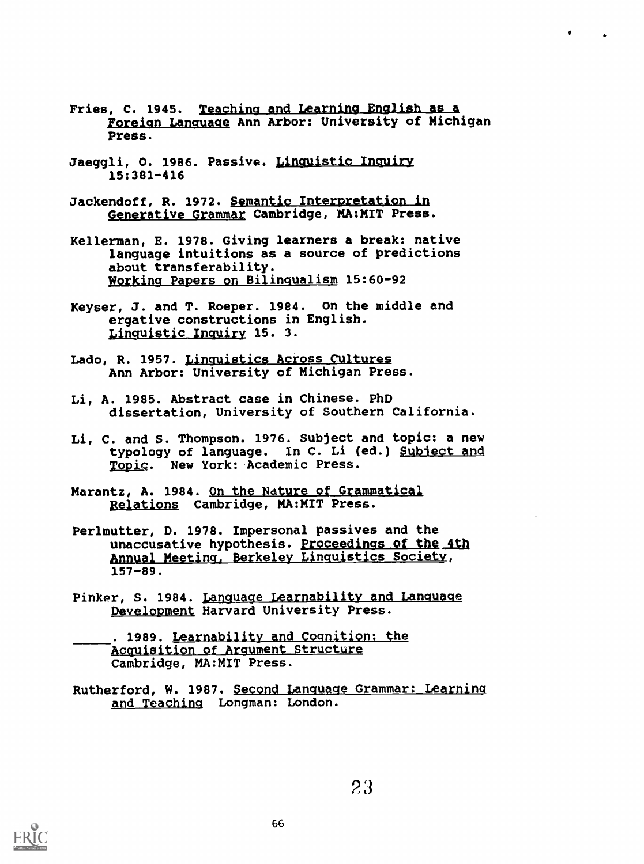Fries, C. 1945. Teaching and Learning English as a foreign Language Ann Arbor: University of Michigan Press.

 $\mathbf{r}$ 

- Jaeggli, O. 1986. Passive. Linquistic Inquiry 15:381-416
- Jackendoff, R. 1972. Semantic Interpretation in Generative Grammar Cambridge, MA:MIT Press.
- Kellerman, E. 1978. Giving learners a break: native language intuitions as a source of predictions about transferability. Working Papers on Bilingualism 15:60-92
- Keyser, J. and T. Roeper. 1984. On the middle and ergative constructions in English. Linquistic Inquiry 15. 3.
- Lado, R. 1957. Linquistics Across Cultures Ann Arbor: University of Michigan Press.
- Li, A. 1985. Abstract case in Chinese. PhD dissertation, University of Southern California.
- Li, C. and S. Thompson. 1976. Subject and topic: a new typology of language. In C. Li (ed.) Subject and Topic. New York: Academic Press.
- Marantz, A. 1984. On the Nature of Grammatical Relations Cambridge, MA:MIT Press.
- Perlmutter, D. 1978. Impersonal passives and the unaccusative hypothesis. Proceedings of the 4th<br>Annual Meeting, Berkeley Linguistics Society, 157-89.
- Pinker, S. 1984. Language Learnability and Language Development Harvard University Press.
- . 1989. <u>Learnability and Cognition: the</u><br>Acquisition of Arqument Structure Cambridge, MA:MIT Press.
- Rutherford, W. 1987. Second Language Grammar: Learning and Teaching Longman: London.

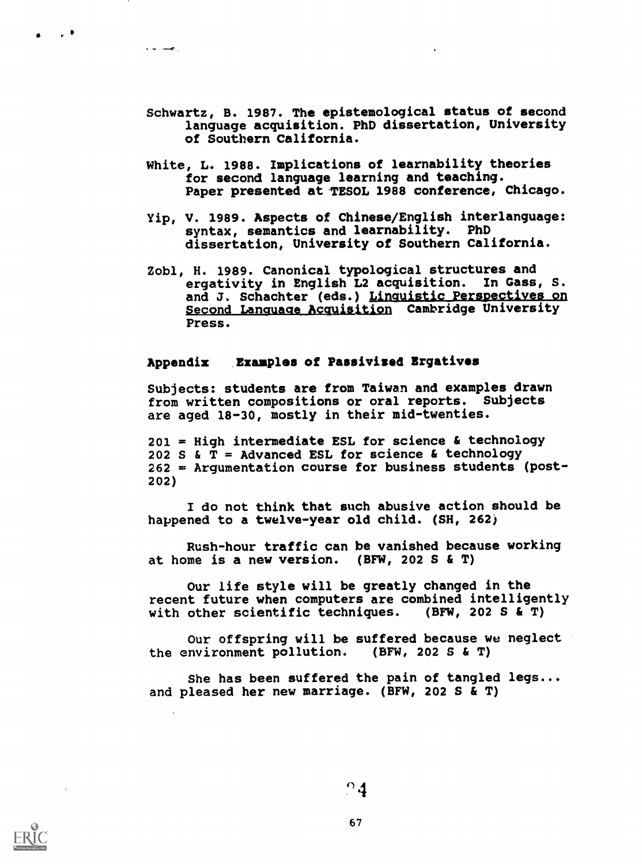- Schwartz, B. 1987. The epistemological status of second language acquisition. PhD dissertation, University of Southern California.
- White, L. 1988. Implications of learnability theories for second language learning and teaching. Paper presented at TESOL 1988 conference, Chicago.
- Yip, V. 1989. Aspects of Chinese/English interlanguage: syntax, semantics and learnability. PhD dissertation, University of Southern California.
- Zobl, H. 1989. Canonical typological structures and ergativity in English L2 acquisition. In Gass, S. and J. Schachter (eds.) Linquistic Perspectives on Second Language Acquisition Cambridge University Press.

# Appendix Examples of Passivised Ergatives

Subjects: students are from Taiwan and examples drawn from written compositions or oral reports. Subjects are aged 18-30, mostly in their mid-twenties.

201 = High intermediate ESL for science & technology 202 S &  $T =$  Advanced ESL for science & technology 262 = Argumentation course for business students (post-202)

I do not think that such abusive action should be happened to a twelve-year old child. (SH, 262)

Rush-hour traffic can be vanished because working at home is a new version. (BFW, 202 S & T)

Our life style will be greatly changed in the recent future when computers are combined intelligently with other scientific techniques. (BFW, 202 S & T)

Our offspring will be suffered because we neglect the environment pollution. (BFW, 202 S & T)

She has been suffered the pain of tangled legs... and pleased her new marriage. (BFW, 202 S & T)

 $^{\circ}$ 4



 $\bullet$   $\bullet$   $\bullet$ 

 $\mathbf{r}$  is simply .